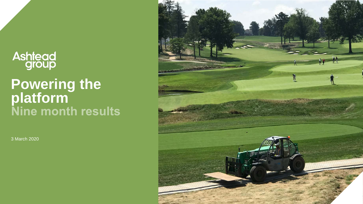## **Ashtead**<br>group

## **Powering the platform**

3 March 2020

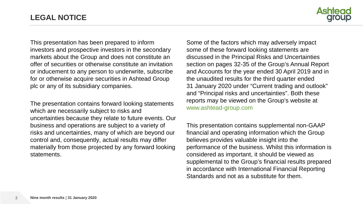

This presentation has been prepared to inform investors and prospective investors in the secondary markets about the Group and does not constitute an offer of securities or otherwise constitute an invitation or inducement to any person to underwrite, subscribe for or otherwise acquire securities in Ashtead Group plc or any of its subsidiary companies.

The presentation contains forward looking statements which are necessarily subject to risks and uncertainties because they relate to future events. Our business and operations are subject to a variety of risks and uncertainties, many of which are beyond our control and, consequently, actual results may differ materially from those projected by any forward looking statements.

Some of the factors which may adversely impact some of these forward looking statements are discussed in the Principal Risks and Uncertainties section on pages 32-35 of the Group's Annual Report and Accounts for the year ended 30 April 2019 and in the unaudited results for the third quarter ended 31 January 2020 under "Current trading and outlook" and "Principal risks and uncertainties". Both these reports may be viewed on the Group's website at www.ashtead-group.com

This presentation contains supplemental non-GAAP financial and operating information which the Group believes provides valuable insight into the performance of the business. Whilst this information is considered as important, it should be viewed as supplemental to the Group's financial results prepared in accordance with International Financial Reporting Standards and not as a substitute for them.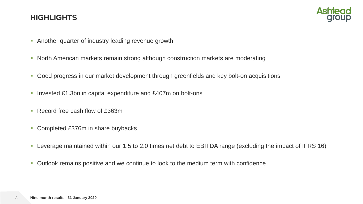

- **Another quarter of industry leading revenue growth**
- **North American markets remain strong although construction markets are moderating**
- Good progress in our market development through greenfields and key bolt-on acquisitions
- Invested £1.3bn in capital expenditure and £407m on bolt-ons
- Record free cash flow of £363m
- Completed £376m in share buybacks
- Leverage maintained within our 1.5 to 2.0 times net debt to EBITDA range (excluding the impact of IFRS 16)
- Outlook remains positive and we continue to look to the medium term with confidence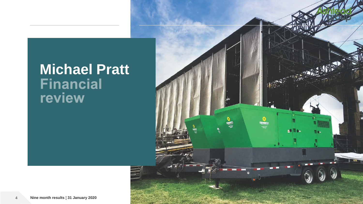## **Michael Pratt** review

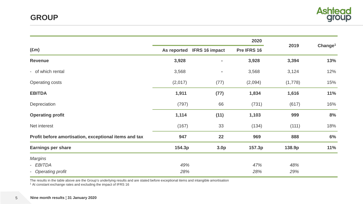

|                                                       |             |                       | 2020        |         |                     |
|-------------------------------------------------------|-------------|-----------------------|-------------|---------|---------------------|
| $(\text{Em})$                                         | As reported | <b>IFRS 16 impact</b> | Pre IFRS 16 | 2019    | Change <sup>1</sup> |
| <b>Revenue</b>                                        | 3,928       |                       | 3,928       | 3,394   | 13%                 |
| - of which rental                                     | 3,568       | $\blacksquare$        | 3,568       | 3,124   | 12%                 |
| <b>Operating costs</b>                                | (2,017)     | (77)                  | (2,094)     | (1,778) | 15%                 |
| <b>EBITDA</b>                                         | 1,911       | (77)                  | 1,834       | 1,616   | 11%                 |
| Depreciation                                          | (797)       | 66                    | (731)       | (617)   | 16%                 |
| <b>Operating profit</b>                               | 1,114       | (11)                  | 1,103       | 999     | 8%                  |
| Net interest                                          | (167)       | 33                    | (134)       | (111)   | 18%                 |
| Profit before amortisation, exceptional items and tax | 947         | 22                    | 969         | 888     | 6%                  |
| <b>Earnings per share</b>                             | 154.3p      | 3.0 <sub>p</sub>      | 157.3p      | 138.9p  | 11%                 |
| <b>Margins</b>                                        |             |                       |             |         |                     |
| - EBITDA                                              | 49%         |                       | 47%         | 48%     |                     |
| - Operating profit                                    | 28%         |                       | 28%         | 29%     |                     |

The results in the table above are the Group's underlying results and are stated before exceptional items and intangible amortisation

<sup>1</sup> At constant exchange rates and excluding the impact of IFRS 16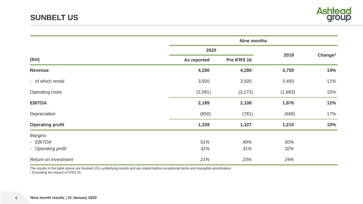|                                                  |             | <b>Nine months</b> |            |                     |  |  |  |
|--------------------------------------------------|-------------|--------------------|------------|---------------------|--|--|--|
|                                                  | 2020        |                    |            |                     |  |  |  |
| \$m\$                                            | As reported | Pre IFRS 16        | 2019       | Change <sup>1</sup> |  |  |  |
| <b>Revenue</b>                                   | 4,280       | 4,280              | 3,759      | 14%                 |  |  |  |
| - of which rental                                | 3,920       | 3,920              | 3,493      | 12%                 |  |  |  |
| Operating costs                                  | (2,091)     | (2, 172)           | (1,883)    | 15%                 |  |  |  |
| <b>EBITDA</b>                                    | 2,189       | 2,108              | 1,876      | 12%                 |  |  |  |
| Depreciation                                     | (850)       | (781)              | (666)      | 17%                 |  |  |  |
| <b>Operating profit</b>                          | 1,339       | 1,327              | 1,210      | 10%                 |  |  |  |
| <b>Margins</b><br>- EBITDA<br>- Operating profit | 51%<br>31%  | 49%<br>31%         | 50%<br>32% |                     |  |  |  |
| Return on investment                             | 21%         | 23%                | 24%        |                     |  |  |  |

The results in the table above are Sunbelt US's underlying results and are stated before exceptional items and intangible amortisation<br><sup>1</sup> Excluding the impact of IFRS 16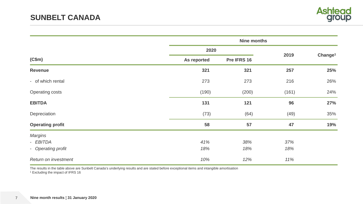

|                                                  | <b>Nine months</b> |             |            |                     |  |
|--------------------------------------------------|--------------------|-------------|------------|---------------------|--|
|                                                  | 2020               |             |            |                     |  |
| (C\$m)                                           | As reported        | Pre IFRS 16 | 2019       | Change <sup>1</sup> |  |
| <b>Revenue</b>                                   | 321                | 321         | 257        | 25%                 |  |
| - of which rental                                | 273                | 273         | 216        | 26%                 |  |
| <b>Operating costs</b>                           | (190)              | (200)       | (161)      | 24%                 |  |
| <b>EBITDA</b>                                    | 131                | 121         | 96         | 27%                 |  |
| Depreciation                                     | (73)               | (64)        | (49)       | 35%                 |  |
| <b>Operating profit</b>                          | 58                 | 57          | 47         | 19%                 |  |
| <b>Margins</b><br>- EBITDA<br>- Operating profit | 41%<br>18%         | 38%<br>18%  | 37%<br>18% |                     |  |
| Return on investment                             | 10%                | 12%         | 11%        |                     |  |

The results in the table above are Sunbelt Canada's underlying results and are stated before exceptional items and intangible amortisation 1 Excluding the impact of IFRS 16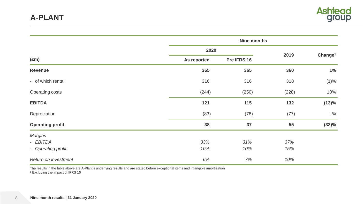

|                                   |             | <b>Nine months</b> |       |                     |  |  |
|-----------------------------------|-------------|--------------------|-------|---------------------|--|--|
|                                   | 2020        |                    |       |                     |  |  |
| $(\text{Em})$                     | As reported | Pre IFRS 16        | 2019  | Change <sup>1</sup> |  |  |
| <b>Revenue</b>                    | 365         | 365                | 360   | 1%                  |  |  |
| - of which rental                 | 316         | 316                | 318   | (1)%                |  |  |
| <b>Operating costs</b>            | (244)       | (250)              | (228) | 10%                 |  |  |
| <b>EBITDA</b>                     | 121         | 115                | 132   | (13)%               |  |  |
| Depreciation                      | (83)        | (78)               | (77)  | $-$ %               |  |  |
| <b>Operating profit</b>           | 38          | 37                 | 55    | (32)%               |  |  |
| <b>Margins</b>                    |             |                    |       |                     |  |  |
| - EBITDA                          | 33%         | 31%                | 37%   |                     |  |  |
| <b>Operating profit</b><br>$\sim$ | 10%         | 10%                | 15%   |                     |  |  |
| Return on investment              | 6%          | 7%                 | 10%   |                     |  |  |

The results in the table above are A-Plant's underlying results and are stated before exceptional items and intangible amortisation <sup>1</sup> Excluding the impact of IFRS 16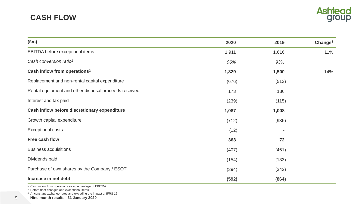

| $(\text{Em})$                                         | 2020  | 2019  | Change <sup>3</sup> |
|-------------------------------------------------------|-------|-------|---------------------|
| EBITDA before exceptional items                       | 1,911 | 1,616 | 11%                 |
| Cash conversion ratio <sup>1</sup>                    | 96%   | 93%   |                     |
| Cash inflow from operations <sup>2</sup>              | 1,829 | 1,500 | 14%                 |
| Replacement and non-rental capital expenditure        | (676) | (513) |                     |
| Rental equipment and other disposal proceeds received | 173   | 136   |                     |
| Interest and tax paid                                 | (239) | (115) |                     |
| Cash inflow before discretionary expenditure          | 1,087 | 1,008 |                     |
| Growth capital expenditure                            | (712) | (936) |                     |
| <b>Exceptional costs</b>                              | (12)  |       |                     |
| Free cash flow                                        | 363   | 72    |                     |
| <b>Business acquisitions</b>                          | (407) | (461) |                     |
| Dividends paid                                        | (154) | (133) |                     |
| Purchase of own shares by the Company / ESOT          | (394) | (342) |                     |
| Increase in net debt                                  | (592) | (864) |                     |

<sup>2</sup> Before fleet changes and exceptional items

<sup>3</sup> At constant exchange rates and excluding the impact of IFRS 16

9 **Nine month results ¦ 31 January 2020**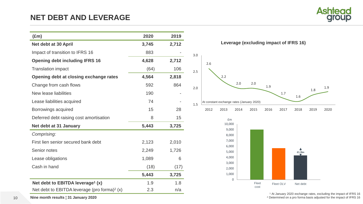

| $(\text{Em})$                                  | 2020  | 2019  |     |
|------------------------------------------------|-------|-------|-----|
| Net debt at 30 April                           | 3,745 | 2,712 |     |
| Impact of transition to IFRS 16                | 883   |       | 3.0 |
| <b>Opening debt including IFRS 16</b>          | 4,628 | 2,712 |     |
| <b>Translation impact</b>                      | (64)  | 106   | 2.5 |
| Opening debt at closing exchange rates         | 4,564 | 2,818 |     |
| Change from cash flows                         | 592   | 864   | 2.0 |
| New lease liabilities                          | 190   |       |     |
| Lease liabilities acquired                     | 74    |       | 1.5 |
| Borrowings acquired                            | 15    | 28    |     |
| Deferred debt raising cost amortisation        | 8     | 15    |     |
| Net debt at 31 January                         | 5,443 | 3,725 |     |
| Comprising:                                    |       |       |     |
| First lien senior secured bank debt            | 2,123 | 2,010 |     |
| Senior notes                                   | 2,249 | 1,726 |     |
| Lease obligations                              | 1,089 | 6     |     |
| Cash in hand                                   | (18)  | (17)  |     |
|                                                | 5,443 | 3,725 |     |
| Net debt to EBITDA leverage <sup>1</sup> (x)   | 1.9   | 1.8   |     |
| Net debt to EBITDA leverage (pro forma) $2(x)$ | 2.3   | n/a   |     |



**Leverage (excluding impact of IFRS 16)**

### 9,000 10,000



<sup>1</sup> At January 2020 exchange rates, excluding the impact of IFRS 16  $2$  Determined on a pro forma basis adjusted for the impact of IFRS 16

**Nine month results ¦ 31 January 2020**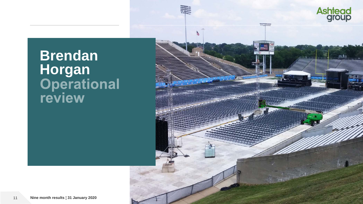## **Brendan Horgan<br>
Operational<br>
review**

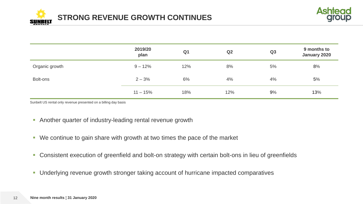



|                | 2019/20<br>plan | Q <sub>1</sub> | Q2  | Q3 | 9 months to<br>January 2020 |
|----------------|-----------------|----------------|-----|----|-----------------------------|
| Organic growth | $9 - 12%$       | 12%            | 8%  | 5% | 8%                          |
| Bolt-ons       | $2 - 3%$        | 6%             | 4%  | 4% | 5%                          |
|                | $11 - 15%$      | 18%            | 12% | 9% | 13%                         |

Sunbelt US rental only revenue presented on a billing day basis

- **-** Another quarter of industry-leading rental revenue growth
- We continue to gain share with growth at two times the pace of the market
- Consistent execution of greenfield and bolt-on strategy with certain bolt-ons in lieu of greenfields
- **Underlying revenue growth stronger taking account of hurricane impacted comparatives**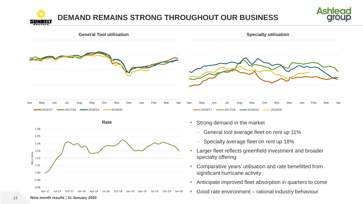### **DEMAND REMAINS STRONG THROUGHOUT OUR BUSINESS** SI II NBELI





Good rate environment – rational industry behaviour

13 **Nine month results ¦ 31 January 2020**

Apr-17 Jul-17 Oct-17 Jan-18 Apr-18 Jul-18 Oct-18 Jan-19 Apr-19 Jul-19 Oct-19 Jan-20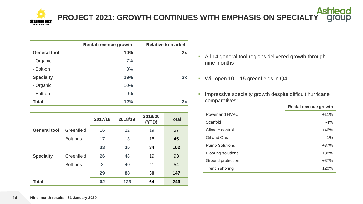**PROJECT 2021: GROWTH CONTINUES WITH EMPHASIS ON SPECIALTY**

|                     | <b>Rental revenue growth</b> | <b>Relative to market</b> |
|---------------------|------------------------------|---------------------------|
| <b>General tool</b> | 10%                          | 2x                        |
| - Organic           | 7%                           |                           |
| - Bolt-on           | 3%                           |                           |
| <b>Specialty</b>    | 19%                          | 3x                        |
| - Organic           | 10%                          |                           |
| - Bolt-on           | 9%                           |                           |
| <b>Total</b>        | 12%                          | 2x                        |

|                     |            | 2017/18 | 2018/19 | 2019/20<br>(YTD) | <b>Total</b> |
|---------------------|------------|---------|---------|------------------|--------------|
| <b>General tool</b> | Greenfield | 16      | 22      | 19               | 57           |
|                     | Bolt-ons   | 17      | 13      | 15               | 45           |
|                     |            | 33      | 35      | 34               | 102          |
| <b>Specialty</b>    | Greenfield | 26      | 48      | 19               | 93           |
|                     | Bolt-ons   | 3       | 40      | 11               | 54           |
|                     |            | 29      | 88      | 30               | 147          |
| <b>Total</b>        |            | 62      | 123     | 64               | 249          |

- **All 14 general tool regions delivered growth through** nine months
- Will open  $10 15$  greenfields in  $Q4$
- **Impressive specialty growth despite difficult hurricane** comparatives:

|                       | Rental revenue growth |
|-----------------------|-----------------------|
| Power and HVAC        | $+11%$                |
| Scaffold              | $-4%$                 |
| Climate control       | $+46%$                |
| Oil and Gas           | $-1%$                 |
| <b>Pump Solutions</b> | $+87%$                |
| Flooring solutions    | $+38%$                |
| Ground protection     | $+37%$                |
| Trench shoring        | $+120%$               |
|                       |                       |

**Rental revenue growth**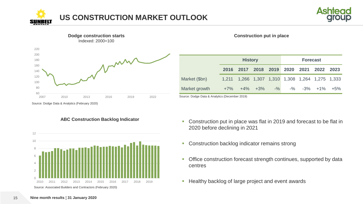





**Construction put in place**

|                                                | <b>History</b> |                                                 |  |  | <b>Forecast</b> |  |      |       |
|------------------------------------------------|----------------|-------------------------------------------------|--|--|-----------------|--|------|-------|
|                                                | 2016           | 2017 2018 2019 2020 2021                        |  |  |                 |  | 2022 | 2023  |
| Market (\$bn)                                  |                | 1,211 1,266 1,307 1,310 1,308 1,264 1,275 1,333 |  |  |                 |  |      |       |
| Market growth                                  |                | $+7\%$ $+4\%$ $+3\%$ $-$ % $-$ % $-3\%$ $+1\%$  |  |  |                 |  |      | $+5%$ |
| Source: Dodge Data & Analytics (December 2019) |                |                                                 |  |  |                 |  |      |       |

Source: Dodge Data & Analytics (February 2020)





- **Construction put in place was flat in 2019 and forecast to be flat in** 2020 before declining in 2021
- **Construction backlog indicator remains strong**
- **-** Office construction forecast strength continues, supported by data centres
- **Healthy backlog of large project and event awards**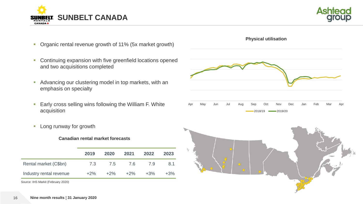



- **Organic rental revenue growth of 11% (5x market growth)**
- **Continuing expansion with five greenfield locations opened** and two acquisitions completed
- Advancing our clustering model in top markets, with an emphasis on specialty
- **Early cross selling wins following the William F. White** acquisition
- **Long runway for growth**

### **Canadian rental market forecasts**

|                         | 2019   | 2020   | 2021   | 2022   | 2023   |
|-------------------------|--------|--------|--------|--------|--------|
| Rental market (C\$bn)   | 7.3    | 7.5    | 7.6    | 7.9    | 8.1    |
| Industry rental revenue | $+2\%$ | $+2\%$ | $+2\%$ | $+3\%$ | $+3\%$ |

Source: IHS Markit (February 2020)



**Physical utilisation**

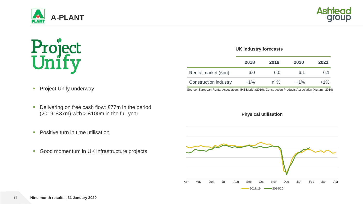



# **Project**<br>Unify

#### **UK industry forecasts**

|                              | 2018   | 2019    | 2020   | 2021   |
|------------------------------|--------|---------|--------|--------|
| Rental market (£bn)          | 6.0    | 6.0     | 6.1    | 6.1    |
| <b>Construction industry</b> | $+1\%$ | $nil\%$ | $+1\%$ | $+1\%$ |

Source: European Rental Association / IHS Markit (2019); Construction Products Association (Autumn 2019)

**Physical utilisation**

**Project Unify underway** 

- Delivering on free cash flow: £77m in the period (2019: £37m) with  $>$  £100m in the full year
- **Positive turn in time utilisation**
- Good momentum in UK infrastructure projects

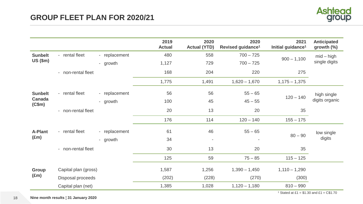

|                         |                      |               | 2019<br><b>Actual</b> | 2020<br><b>Actual (YTD)</b> | 2020<br>Revised guidance <sup>1</sup> | 2021<br>Initial guidance <sup>1</sup> | <b>Anticipated</b><br>growth $(\%)$ |
|-------------------------|----------------------|---------------|-----------------------|-----------------------------|---------------------------------------|---------------------------------------|-------------------------------------|
| <b>Sunbelt</b>          | - rental fleet       | - replacement | 480                   | 558                         | $700 - 725$                           |                                       | $mid - high$                        |
| $US$ (\$m)              |                      | - growth      | 1,127                 | 729                         | $700 - 725$                           | $900 - 1,100$                         | single digits                       |
|                         | - non-rental fleet   |               | 168                   | 204                         | 220                                   | 275                                   |                                     |
|                         |                      |               | 1,775                 | 1,491                       | $1,620 - 1,670$                       | $1,175 - 1,375$                       |                                     |
| <b>Sunbelt</b>          | - rental fleet       | - replacement | 56                    | 56                          | $55 - 65$                             |                                       | high single                         |
| <b>Canada</b><br>(C\$m) |                      | - growth      | 100                   | 45                          | $45 - 55$                             | $120 - 140$                           | digits organic                      |
|                         | - non-rental fleet   |               | 20                    | 13                          | 20                                    | 35                                    |                                     |
|                         |                      |               | 176                   | 114                         | $120 - 140$                           | $155 - 175$                           |                                     |
| <b>A-Plant</b>          | - rental fleet       | - replacement | 61                    | 46                          | $55 - 65$                             |                                       | low single                          |
| $(\text{Em})$           |                      | - growth      | 34                    | $\overline{\phantom{a}}$    | $\sim$                                | $80 - 90$                             | digits                              |
|                         | - non-rental fleet   |               | 30                    | 13                          | 20                                    | 35                                    |                                     |
|                         |                      |               | 125                   | 59                          | $75 - 85$                             | $115 - 125$                           |                                     |
| Group                   | Capital plan (gross) |               | 1,587                 | 1,256                       | $1,390 - 1,450$                       | $1,110 - 1,290$                       |                                     |
| $(\text{Em})$           | Disposal proceeds    |               | (202)                 | (228)                       | (270)                                 | (300)                                 |                                     |
|                         | Capital plan (net)   |               | 1,385                 | 1,028                       | $1,120 - 1,180$                       | $810 - 990$                           |                                     |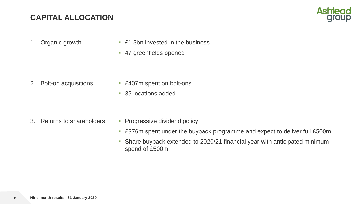

- 
- 1. Organic growth **E1.3bn** invested in the business
	- 47 greenfields opened

- 
- 2. Bolt-on acquisitions **E407m** spent on bolt-ons
	- 35 locations added

- 
- 3. Returns to shareholders Progressive dividend policy
	- £376m spent under the buyback programme and expect to deliver full £500m
	- **Share buyback extended to 2020/21 financial year with anticipated minimum** spend of £500m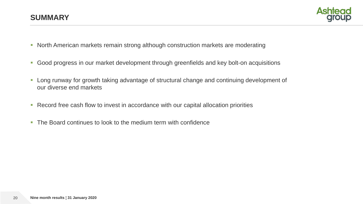

- North American markets remain strong although construction markets are moderating
- Good progress in our market development through greenfields and key bolt-on acquisitions
- Long runway for growth taking advantage of structural change and continuing development of our diverse end markets
- **Record free cash flow to invest in accordance with our capital allocation priorities**
- The Board continues to look to the medium term with confidence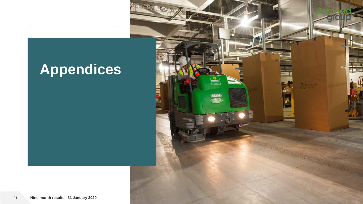### **Appendices**

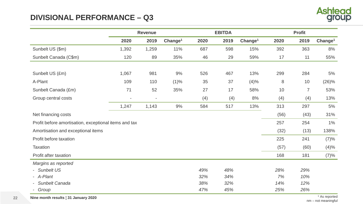### **DIVISIONAL PERFORMANCE – Q3**



|                                                       | <b>Revenue</b>           |                          |                     |      | <b>EBITDA</b> |                     | <b>Profit</b> |                |                     |  |
|-------------------------------------------------------|--------------------------|--------------------------|---------------------|------|---------------|---------------------|---------------|----------------|---------------------|--|
|                                                       | 2020                     | 2019                     | Change <sup>1</sup> | 2020 | 2019          | Change <sup>1</sup> | 2020          | 2019           | Change <sup>1</sup> |  |
| Sunbelt US (\$m)                                      | 1,392                    | 1,259                    | 11%                 | 687  | 598           | 15%                 | 392           | 363            | 8%                  |  |
| Sunbelt Canada (C\$m)                                 | 120                      | 89                       | 35%                 | 46   | 29            | 59%                 | 17            | 11             | 55%                 |  |
|                                                       |                          |                          |                     |      |               |                     |               |                |                     |  |
| Sunbelt US (£m)                                       | 1,067                    | 981                      | 9%                  | 526  | 467           | 13%                 | 299           | 284            | 5%                  |  |
| A-Plant                                               | 109                      | 110                      | (1)%                | 35   | 37            | (4)%                | 8             | 10             | (26)%               |  |
| Sunbelt Canada (£m)                                   | 71                       | 52                       | 35%                 | 27   | 17            | 58%                 | 10            | $\overline{7}$ | 53%                 |  |
| Group central costs                                   | $\overline{\phantom{a}}$ | $\overline{\phantom{a}}$ |                     | (4)  | (4)           | 8%                  | (4)           | (4)            | 13%                 |  |
|                                                       | 1,247                    | 1,143                    | 9%                  | 584  | 517           | 13%                 | 313           | 297            | 5%                  |  |
| Net financing costs                                   |                          |                          |                     |      |               |                     | (56)          | (43)           | 31%                 |  |
| Profit before amortisation, exceptional items and tax |                          |                          |                     |      |               |                     | 257           | 254            | $1\%$               |  |
| Amortisation and exceptional items                    |                          |                          |                     |      |               |                     | (32)          | (13)           | 138%                |  |
| Profit before taxation                                |                          |                          |                     |      |               |                     | 225           | 241            | (7)%                |  |
| Taxation                                              |                          |                          |                     |      |               |                     | (57)          | (60)           | (4)%                |  |
| Profit after taxation                                 |                          |                          |                     |      |               |                     | 168           | 181            | (7)%                |  |
| Margins as reported                                   |                          |                          |                     |      |               |                     |               |                |                     |  |
| - Sunbelt US                                          |                          |                          |                     | 49%  | 48%           |                     | 28%           | 29%            |                     |  |
| - A-Plant                                             |                          |                          |                     | 32%  | 34%           |                     | 7%            | 10%            |                     |  |
| <b>Sunbelt Canada</b>                                 |                          |                          |                     | 38%  | 32%           |                     | 14%           | 12%            |                     |  |
| Group                                                 |                          |                          |                     | 47%  | 45%           |                     | 25%           | 26%            |                     |  |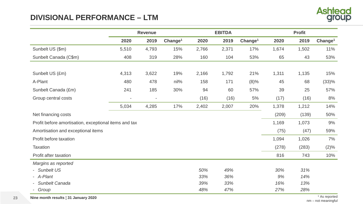### **DIVISIONAL PERFORMANCE – LTM**



|                                                       | <b>EBITDA</b><br><b>Profit</b><br><b>Revenue</b> |                          |                     |       |       |                     |       |       |                     |
|-------------------------------------------------------|--------------------------------------------------|--------------------------|---------------------|-------|-------|---------------------|-------|-------|---------------------|
|                                                       | 2020                                             | 2019                     | Change <sup>1</sup> | 2020  | 2019  | Change <sup>1</sup> | 2020  | 2019  | Change <sup>1</sup> |
| Sunbelt US (\$m)                                      | 5,510                                            | 4,793                    | 15%                 | 2,766 | 2,371 | 17%                 | 1,674 | 1,502 | 11%                 |
| Sunbelt Canada (C\$m)                                 | 408                                              | 319                      | 28%                 | 160   | 104   | 53%                 | 65    | 43    | 53%                 |
|                                                       |                                                  |                          |                     |       |       |                     |       |       |                     |
| Sunbelt US (£m)                                       | 4,313                                            | 3,622                    | 19%                 | 2,166 | 1,792 | 21%                 | 1,311 | 1,135 | 15%                 |
| A-Plant                                               | 480                                              | 478                      | nil%                | 158   | 171   | (8)%                | 45    | 68    | (33)%               |
| Sunbelt Canada (£m)                                   | 241                                              | 185                      | 30%                 | 94    | 60    | 57%                 | 39    | 25    | 57%                 |
| Group central costs                                   |                                                  | $\overline{\phantom{a}}$ |                     | (16)  | (16)  | 5%                  | (17)  | (16)  | 8%                  |
|                                                       | 5,034                                            | 4,285                    | 17%                 | 2,402 | 2,007 | 20%                 | 1,378 | 1,212 | 14%                 |
| Net financing costs                                   |                                                  |                          |                     |       |       |                     | (209) | (139) | 50%                 |
| Profit before amortisation, exceptional items and tax |                                                  |                          |                     |       |       |                     | 1,169 | 1,073 | 9%                  |
| Amortisation and exceptional items                    |                                                  |                          |                     |       |       |                     | (75)  | (47)  | 59%                 |
| Profit before taxation                                |                                                  |                          |                     |       |       |                     | 1,094 | 1,026 | 7%                  |
| Taxation                                              |                                                  |                          |                     |       |       |                     | (278) | (283) | (2)%                |
| Profit after taxation                                 |                                                  |                          |                     |       |       |                     | 816   | 743   | 10%                 |
| Margins as reported                                   |                                                  |                          |                     |       |       |                     |       |       |                     |
| - Sunbelt US                                          |                                                  |                          |                     | 50%   | 49%   |                     | 30%   | 31%   |                     |
| - A-Plant                                             |                                                  |                          |                     | 33%   | 36%   |                     | 9%    | 14%   |                     |
| Sunbelt Canada                                        |                                                  |                          |                     | 39%   | 33%   |                     | 16%   | 13%   |                     |
| Group                                                 |                                                  |                          |                     | 48%   | 47%   |                     | 27%   | 28%   |                     |

23 **Nine month results | 31 January 2020**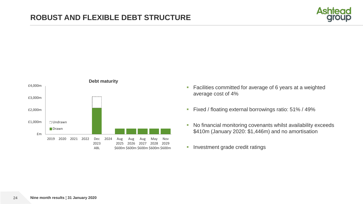



- **Facilities committed for average of 6 years at a weighted** average cost of 4%
- Fixed / floating external borrowings ratio: 51% / 49%
- No financial monitoring covenants whilst availability exceeds \$410m (January 2020: \$1,446m) and no amortisation
- **Investment grade credit ratings**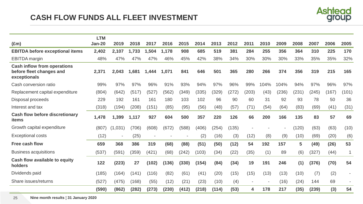

| $(\text{Em})$                                                                  | <b>LTM</b><br><b>Jan-20</b> | 2019                     | 2018  | 2017  | 2016  | 2015  | 2014  | 2013  | 2012  | 2011  | 2010                     | 2009  | 2008  | 2007  | 2006  | 2005  |
|--------------------------------------------------------------------------------|-----------------------------|--------------------------|-------|-------|-------|-------|-------|-------|-------|-------|--------------------------|-------|-------|-------|-------|-------|
| <b>EBITDA before exceptional items</b>                                         | 2,402                       | 2,107                    | 1,733 | 1,504 | 1,178 | 908   | 685   | 519   | 381   | 284   | 255                      | 356   | 364   | 310   | 225   | 170   |
| <b>EBITDA</b> margin                                                           | 48%                         | 47%                      | 47%   | 47%   | 46%   | 45%   | 42%   | 38%   | 34%   | 30%   | 30%                      | 30%   | 33%   | 35%   | 35%   | 32%   |
| <b>Cash inflow from operations</b><br>before fleet changes and<br>exceptionals | 2,371                       | 2,043                    | 1,681 | 1,444 | 1,071 | 841   | 646   | 501   | 365   | 280   | 266                      | 374   | 356   | 319   | 215   | 165   |
| Cash conversion ratio                                                          | 99%                         | 97%                      | 97%   | 96%   | 91%   | 93%   | 94%   | 97%   | 96%   | 99%   | 104%                     | 104%  | 94%   | 97%   | 96%   | 97%   |
| Replacement capital expenditure                                                | (804)                       | (642)                    | (517) | (527) | (562) | (349) | (335) | (329) | (272) | (203) | (43)                     | (236) | (231) | (245) | (167) | (101) |
| Disposal proceeds                                                              | 229                         | 192                      | 161   | 161   | 180   | 103   | 102   | 96    | 90    | 60    | 31                       | 92    | 93    | 78    | 50    | 36    |
| Interest and tax                                                               | (318)                       | (194)                    | (208) | (151) | (85)  | (95)  | (56)  | (48)  | (57)  | (71)  | (54)                     | (64)  | (83)  | (69)  | (41)  | (31)  |
| <b>Cash flow before discretionary</b><br>items                                 | 1,478                       | 1,399                    | 1,117 | 927   | 604   | 500   | 357   | 220   | 126   | 66    | 200                      | 166   | 135   | 83    | 57    | 69    |
| Growth capital expenditure                                                     | (807)                       | (1,031)                  | (706) | (608) | (672) | (588) | (406) | (254) | (135) |       |                          |       | (120) | (63)  | (63)  | (10)  |
| <b>Exceptional costs</b>                                                       | (12)                        | $\overline{\phantom{a}}$ | (25)  |       |       |       | (2)   | (16)  | (3)   | (12)  | (8)                      | (9)   | (10)  | (69)  | (20)  | (6)   |
| <b>Free cash flow</b>                                                          | 659                         | 368                      | 386   | 319   | (68)  | (88)  | (51)  | (50)  | (12)  | 54    | 192                      | 157   | 5     | (49)  | (26)  | 53    |
| <b>Business acquisitions</b>                                                   | (537)                       | (591)                    | (359) | (421) | (68)  | (242) | (103) | (34)  | (22)  | (35)  | (1)                      | 89    | (6)   | (327) | (44)  | 1     |
| Cash flow available to equity<br>holders                                       | 122                         | (223)                    | 27    | (102) | (136) | (330) | (154) | (84)  | (34)  | 19    | 191                      | 246   | (1)   | (376) | (70)  | 54    |
| Dividends paid                                                                 | (185)                       | (164)                    | (141) | (116) | (82)  | (61)  | (41)  | (20)  | (15)  | (15)  | (13)                     | (13)  | (10)  | (7)   | (2)   |       |
| Share issues/returns                                                           | (527)                       | (475)                    | (168) | (55)  | (12)  | (21)  | (23)  | (10)  | (4)   |       | $\overline{\phantom{a}}$ | (16)  | (24)  | 144   | 69    |       |
|                                                                                | (590)                       | (862)                    | (282) | (273) | (230) | (412) | (218) | (114) | (53)  | 4     | 178                      | 217   | (35)  | (239) | (3)   | 54    |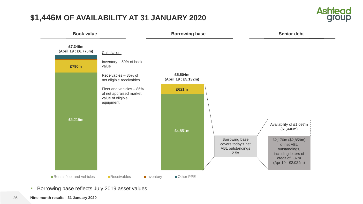### **\$1,446M OF AVAILABILITY AT 31 JANUARY 2020**





- **Borrowing base reflects July 2019 asset values**
- **Nine month results ¦ 31 January 2020**